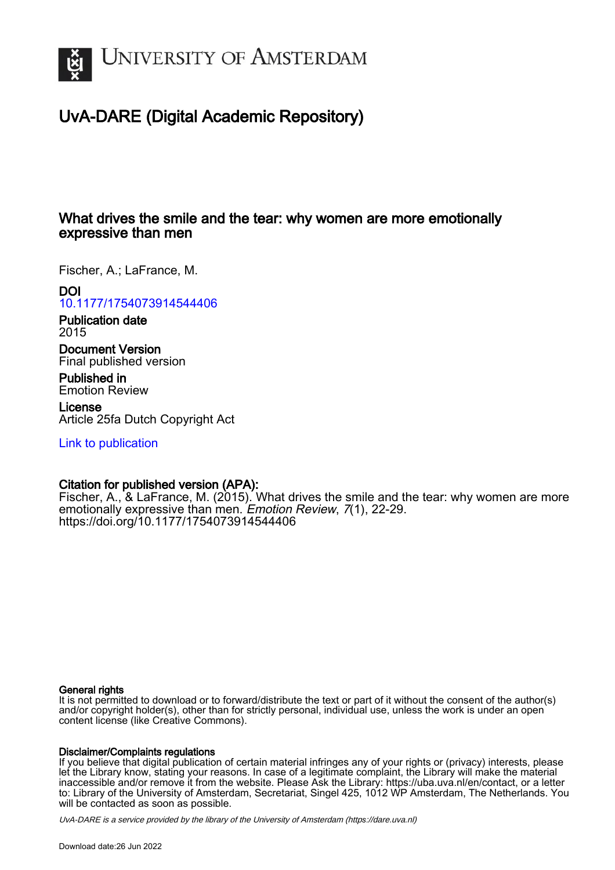

# UvA-DARE (Digital Academic Repository)

# What drives the smile and the tear: why women are more emotionally expressive than men

Fischer, A.; LaFrance, M.

## DOI

[10.1177/1754073914544406](https://doi.org/10.1177/1754073914544406)

Publication date 2015

Document Version Final published version

Published in Emotion Review

License Article 25fa Dutch Copyright Act

[Link to publication](https://dare.uva.nl/personal/pure/en/publications/what-drives-the-smile-and-the-tear-why-women-are-more-emotionally-expressive-than-men(c5f38f6f-10c5-4557-a0da-2b4d0ba68d8a).html)

## Citation for published version (APA):

Fischer, A., & LaFrance, M. (2015). What drives the smile and the tear: why women are more emotionally expressive than men. Emotion Review, 7(1), 22-29. <https://doi.org/10.1177/1754073914544406>

## General rights

It is not permitted to download or to forward/distribute the text or part of it without the consent of the author(s) and/or copyright holder(s), other than for strictly personal, individual use, unless the work is under an open content license (like Creative Commons).

## Disclaimer/Complaints regulations

If you believe that digital publication of certain material infringes any of your rights or (privacy) interests, please let the Library know, stating your reasons. In case of a legitimate complaint, the Library will make the material inaccessible and/or remove it from the website. Please Ask the Library: https://uba.uva.nl/en/contact, or a letter to: Library of the University of Amsterdam, Secretariat, Singel 425, 1012 WP Amsterdam, The Netherlands. You will be contacted as soon as possible.

UvA-DARE is a service provided by the library of the University of Amsterdam (http*s*://dare.uva.nl)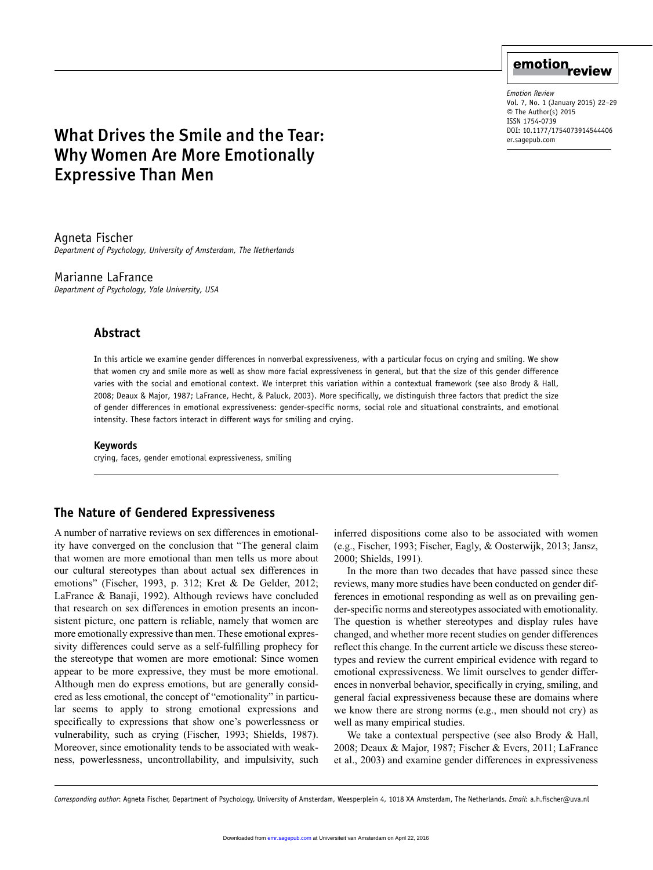*Emotion Review* Vol. 7, No. 1 (January 2015) 22–29 © The Author(s) 2015 ISSN 1754-0739 DOI: 10.1177/1754073914544406 er.sagepub.com

# What Drives the Smile and the Tear: Why Women Are More Emotionally Expressive Than Men

#### Agneta Fischer

*Department of Psychology, University of Amsterdam, The Netherlands*

#### Marianne LaFrance

*Department of Psychology, Yale University, USA*

## **Abstract**

In this article we examine gender differences in nonverbal expressiveness, with a particular focus on crying and smiling. We show that women cry and smile more as well as show more facial expressiveness in general, but that the size of this gender difference varies with the social and emotional context. We interpret this variation within a contextual framework (see also Brody & Hall, 2008; Deaux & Major, 1987; LaFrance, Hecht, & Paluck, 2003). More specifically, we distinguish three factors that predict the size of gender differences in emotional expressiveness: gender-specific norms, social role and situational constraints, and emotional intensity. These factors interact in different ways for smiling and crying.

#### **Keywords**

crying, faces, gender emotional expressiveness, smiling

## **The Nature of Gendered Expressiveness**

A number of narrative reviews on sex differences in emotionality have converged on the conclusion that "The general claim that women are more emotional than men tells us more about our cultural stereotypes than about actual sex differences in emotions" (Fischer, 1993, p. 312; Kret & De Gelder, 2012; LaFrance & Banaji, 1992). Although reviews have concluded that research on sex differences in emotion presents an inconsistent picture, one pattern is reliable, namely that women are more emotionally expressive than men. These emotional expressivity differences could serve as a self-fulfilling prophecy for the stereotype that women are more emotional: Since women appear to be more expressive, they must be more emotional. Although men do express emotions, but are generally considered as less emotional, the concept of "emotionality" in particular seems to apply to strong emotional expressions and specifically to expressions that show one's powerlessness or vulnerability, such as crying (Fischer, 1993; Shields, 1987). Moreover, since emotionality tends to be associated with weakness, powerlessness, uncontrollability, and impulsivity, such inferred dispositions come also to be associated with women (e.g., Fischer, 1993; Fischer, Eagly, & Oosterwijk, 2013; Jansz, 2000; Shields, 1991).

In the more than two decades that have passed since these reviews, many more studies have been conducted on gender differences in emotional responding as well as on prevailing gender-specific norms and stereotypes associated with emotionality. The question is whether stereotypes and display rules have changed, and whether more recent studies on gender differences reflect this change. In the current article we discuss these stereotypes and review the current empirical evidence with regard to emotional expressiveness. We limit ourselves to gender differences in nonverbal behavior, specifically in crying, smiling, and general facial expressiveness because these are domains where we know there are strong norms (e.g., men should not cry) as well as many empirical studies.

We take a contextual perspective (see also Brody & Hall, 2008; Deaux & Major, 1987; Fischer & Evers, 2011; LaFrance et al., 2003) and examine gender differences in expressiveness

*Corresponding author*: Agneta Fischer, Department of Psychology, University of Amsterdam, Weesperplein 4, 1018 XA Amsterdam, The Netherlands. *Email*: a.h.fischer@uva.nl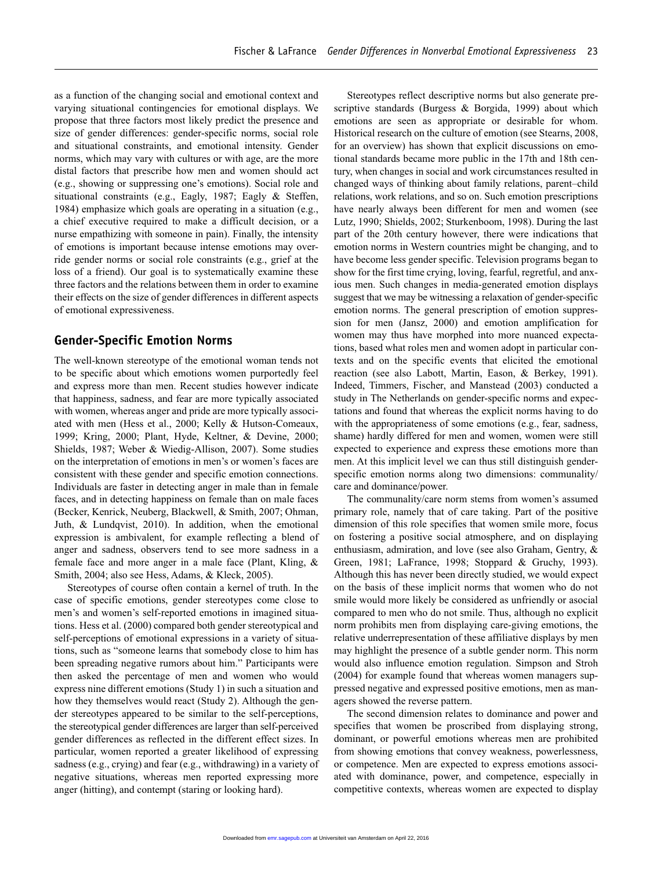as a function of the changing social and emotional context and varying situational contingencies for emotional displays. We propose that three factors most likely predict the presence and size of gender differences: gender-specific norms, social role and situational constraints, and emotional intensity. Gender norms, which may vary with cultures or with age, are the more distal factors that prescribe how men and women should act (e.g., showing or suppressing one's emotions). Social role and situational constraints (e.g., Eagly, 1987; Eagly & Steffen, 1984) emphasize which goals are operating in a situation (e.g., a chief executive required to make a difficult decision, or a nurse empathizing with someone in pain). Finally, the intensity of emotions is important because intense emotions may override gender norms or social role constraints (e.g., grief at the loss of a friend). Our goal is to systematically examine these three factors and the relations between them in order to examine their effects on the size of gender differences in different aspects of emotional expressiveness.

### **Gender-Specific Emotion Norms**

The well-known stereotype of the emotional woman tends not to be specific about which emotions women purportedly feel and express more than men. Recent studies however indicate that happiness, sadness, and fear are more typically associated with women, whereas anger and pride are more typically associated with men (Hess et al., 2000; Kelly & Hutson-Comeaux, 1999; Kring, 2000; Plant, Hyde, Keltner, & Devine, 2000; Shields, 1987; Weber & Wiedig-Allison, 2007). Some studies on the interpretation of emotions in men's or women's faces are consistent with these gender and specific emotion connections. Individuals are faster in detecting anger in male than in female faces, and in detecting happiness on female than on male faces (Becker, Kenrick, Neuberg, Blackwell, & Smith, 2007; Ohman, Juth, & Lundqvist, 2010). In addition, when the emotional expression is ambivalent, for example reflecting a blend of anger and sadness, observers tend to see more sadness in a female face and more anger in a male face (Plant, Kling, & Smith, 2004; also see Hess, Adams, & Kleck, 2005).

Stereotypes of course often contain a kernel of truth. In the case of specific emotions, gender stereotypes come close to men's and women's self-reported emotions in imagined situations. Hess et al. (2000) compared both gender stereotypical and self-perceptions of emotional expressions in a variety of situations, such as "someone learns that somebody close to him has been spreading negative rumors about him." Participants were then asked the percentage of men and women who would express nine different emotions (Study 1) in such a situation and how they themselves would react (Study 2). Although the gender stereotypes appeared to be similar to the self-perceptions, the stereotypical gender differences are larger than self-perceived gender differences as reflected in the different effect sizes. In particular, women reported a greater likelihood of expressing sadness (e.g., crying) and fear (e.g., withdrawing) in a variety of negative situations, whereas men reported expressing more anger (hitting), and contempt (staring or looking hard).

Stereotypes reflect descriptive norms but also generate prescriptive standards (Burgess & Borgida, 1999) about which emotions are seen as appropriate or desirable for whom. Historical research on the culture of emotion (see Stearns, 2008, for an overview) has shown that explicit discussions on emotional standards became more public in the 17th and 18th century, when changes in social and work circumstances resulted in changed ways of thinking about family relations, parent–child relations, work relations, and so on. Such emotion prescriptions have nearly always been different for men and women (see Lutz, 1990; Shields, 2002; Sturkenboom, 1998). During the last part of the 20th century however, there were indications that emotion norms in Western countries might be changing, and to have become less gender specific. Television programs began to show for the first time crying, loving, fearful, regretful, and anxious men. Such changes in media-generated emotion displays suggest that we may be witnessing a relaxation of gender-specific emotion norms. The general prescription of emotion suppression for men (Jansz, 2000) and emotion amplification for women may thus have morphed into more nuanced expectations, based what roles men and women adopt in particular contexts and on the specific events that elicited the emotional reaction (see also Labott, Martin, Eason, & Berkey, 1991). Indeed, Timmers, Fischer, and Manstead (2003) conducted a study in The Netherlands on gender-specific norms and expectations and found that whereas the explicit norms having to do with the appropriateness of some emotions (e.g., fear, sadness, shame) hardly differed for men and women, women were still expected to experience and express these emotions more than men. At this implicit level we can thus still distinguish genderspecific emotion norms along two dimensions: communality/ care and dominance/power.

The communality/care norm stems from women's assumed primary role, namely that of care taking. Part of the positive dimension of this role specifies that women smile more, focus on fostering a positive social atmosphere, and on displaying enthusiasm, admiration, and love (see also Graham, Gentry, & Green, 1981; LaFrance, 1998; Stoppard & Gruchy, 1993). Although this has never been directly studied, we would expect on the basis of these implicit norms that women who do not smile would more likely be considered as unfriendly or asocial compared to men who do not smile. Thus, although no explicit norm prohibits men from displaying care-giving emotions, the relative underrepresentation of these affiliative displays by men may highlight the presence of a subtle gender norm. This norm would also influence emotion regulation. Simpson and Stroh (2004) for example found that whereas women managers suppressed negative and expressed positive emotions, men as managers showed the reverse pattern.

The second dimension relates to dominance and power and specifies that women be proscribed from displaying strong, dominant, or powerful emotions whereas men are prohibited from showing emotions that convey weakness, powerlessness, or competence. Men are expected to express emotions associated with dominance, power, and competence, especially in competitive contexts, whereas women are expected to display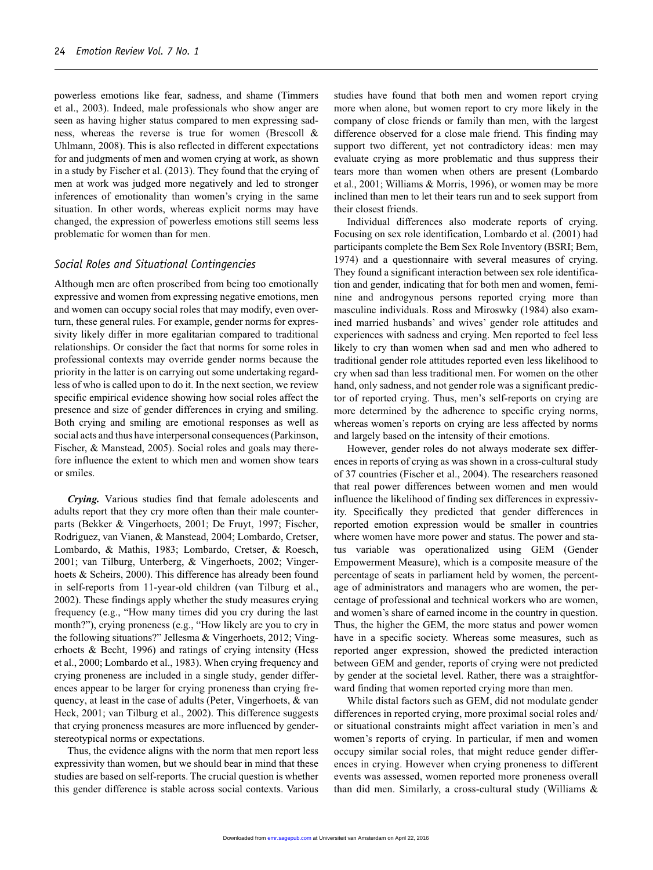powerless emotions like fear, sadness, and shame (Timmers et al., 2003). Indeed, male professionals who show anger are seen as having higher status compared to men expressing sadness, whereas the reverse is true for women (Brescoll & Uhlmann, 2008). This is also reflected in different expectations for and judgments of men and women crying at work, as shown in a study by Fischer et al. (2013). They found that the crying of men at work was judged more negatively and led to stronger inferences of emotionality than women's crying in the same situation. In other words, whereas explicit norms may have changed, the expression of powerless emotions still seems less problematic for women than for men.

#### *Social Roles and Situational Contingencies*

Although men are often proscribed from being too emotionally expressive and women from expressing negative emotions, men and women can occupy social roles that may modify, even overturn, these general rules. For example, gender norms for expressivity likely differ in more egalitarian compared to traditional relationships. Or consider the fact that norms for some roles in professional contexts may override gender norms because the priority in the latter is on carrying out some undertaking regardless of who is called upon to do it. In the next section, we review specific empirical evidence showing how social roles affect the presence and size of gender differences in crying and smiling. Both crying and smiling are emotional responses as well as social acts and thus have interpersonal consequences (Parkinson, Fischer, & Manstead, 2005). Social roles and goals may therefore influence the extent to which men and women show tears or smiles.

*Crying.* Various studies find that female adolescents and adults report that they cry more often than their male counterparts (Bekker & Vingerhoets, 2001; De Fruyt, 1997; Fischer, Rodriguez, van Vianen, & Manstead, 2004; Lombardo, Cretser, Lombardo, & Mathis, 1983; Lombardo, Cretser, & Roesch, 2001; van Tilburg, Unterberg, & Vingerhoets, 2002; Vingerhoets & Scheirs, 2000). This difference has already been found in self-reports from 11-year-old children (van Tilburg et al., 2002). These findings apply whether the study measures crying frequency (e.g., "How many times did you cry during the last month?"), crying proneness (e.g., "How likely are you to cry in the following situations?" Jellesma & Vingerhoets, 2012; Vingerhoets & Becht, 1996) and ratings of crying intensity (Hess et al., 2000; Lombardo et al., 1983). When crying frequency and crying proneness are included in a single study, gender differences appear to be larger for crying proneness than crying frequency, at least in the case of adults (Peter, Vingerhoets, & van Heck, 2001; van Tilburg et al., 2002). This difference suggests that crying proneness measures are more influenced by genderstereotypical norms or expectations.

Thus, the evidence aligns with the norm that men report less expressivity than women, but we should bear in mind that these studies are based on self-reports. The crucial question is whether this gender difference is stable across social contexts. Various

studies have found that both men and women report crying more when alone, but women report to cry more likely in the company of close friends or family than men, with the largest difference observed for a close male friend. This finding may support two different, yet not contradictory ideas: men may evaluate crying as more problematic and thus suppress their tears more than women when others are present (Lombardo et al., 2001; Williams & Morris, 1996), or women may be more inclined than men to let their tears run and to seek support from their closest friends.

Individual differences also moderate reports of crying. Focusing on sex role identification, Lombardo et al. (2001) had participants complete the Bem Sex Role Inventory (BSRI; Bem, 1974) and a questionnaire with several measures of crying. They found a significant interaction between sex role identification and gender, indicating that for both men and women, feminine and androgynous persons reported crying more than masculine individuals. Ross and Miroswky (1984) also examined married husbands' and wives' gender role attitudes and experiences with sadness and crying. Men reported to feel less likely to cry than women when sad and men who adhered to traditional gender role attitudes reported even less likelihood to cry when sad than less traditional men. For women on the other hand, only sadness, and not gender role was a significant predictor of reported crying. Thus, men's self-reports on crying are more determined by the adherence to specific crying norms, whereas women's reports on crying are less affected by norms and largely based on the intensity of their emotions.

However, gender roles do not always moderate sex differences in reports of crying as was shown in a cross-cultural study of 37 countries (Fischer et al., 2004). The researchers reasoned that real power differences between women and men would influence the likelihood of finding sex differences in expressivity. Specifically they predicted that gender differences in reported emotion expression would be smaller in countries where women have more power and status. The power and status variable was operationalized using GEM (Gender Empowerment Measure), which is a composite measure of the percentage of seats in parliament held by women, the percentage of administrators and managers who are women, the percentage of professional and technical workers who are women, and women's share of earned income in the country in question. Thus, the higher the GEM, the more status and power women have in a specific society. Whereas some measures, such as reported anger expression, showed the predicted interaction between GEM and gender, reports of crying were not predicted by gender at the societal level. Rather, there was a straightforward finding that women reported crying more than men.

While distal factors such as GEM, did not modulate gender differences in reported crying, more proximal social roles and/ or situational constraints might affect variation in men's and women's reports of crying. In particular, if men and women occupy similar social roles, that might reduce gender differences in crying. However when crying proneness to different events was assessed, women reported more proneness overall than did men. Similarly, a cross-cultural study (Williams &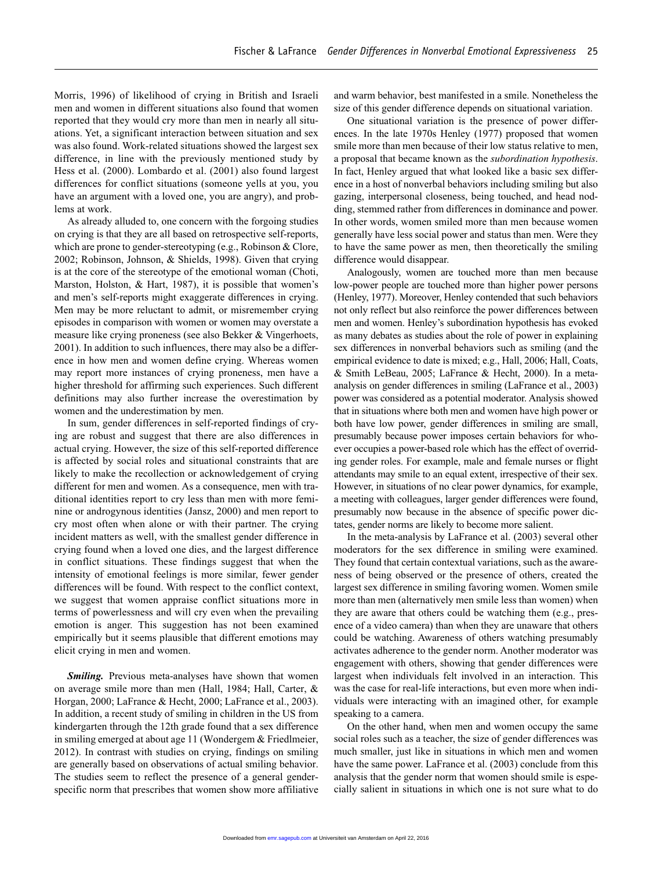Morris, 1996) of likelihood of crying in British and Israeli men and women in different situations also found that women reported that they would cry more than men in nearly all situations. Yet, a significant interaction between situation and sex was also found. Work-related situations showed the largest sex difference, in line with the previously mentioned study by Hess et al. (2000). Lombardo et al. (2001) also found largest differences for conflict situations (someone yells at you, you have an argument with a loved one, you are angry), and problems at work.

As already alluded to, one concern with the forgoing studies on crying is that they are all based on retrospective self-reports, which are prone to gender-stereotyping (e.g., Robinson & Clore, 2002; Robinson, Johnson, & Shields, 1998). Given that crying is at the core of the stereotype of the emotional woman (Choti, Marston, Holston, & Hart, 1987), it is possible that women's and men's self-reports might exaggerate differences in crying. Men may be more reluctant to admit, or misremember crying episodes in comparison with women or women may overstate a measure like crying proneness (see also Bekker & Vingerhoets, 2001). In addition to such influences, there may also be a difference in how men and women define crying. Whereas women may report more instances of crying proneness, men have a higher threshold for affirming such experiences. Such different definitions may also further increase the overestimation by women and the underestimation by men.

In sum, gender differences in self-reported findings of crying are robust and suggest that there are also differences in actual crying. However, the size of this self-reported difference is affected by social roles and situational constraints that are likely to make the recollection or acknowledgement of crying different for men and women. As a consequence, men with traditional identities report to cry less than men with more feminine or androgynous identities (Jansz, 2000) and men report to cry most often when alone or with their partner. The crying incident matters as well, with the smallest gender difference in crying found when a loved one dies, and the largest difference in conflict situations. These findings suggest that when the intensity of emotional feelings is more similar, fewer gender differences will be found. With respect to the conflict context, we suggest that women appraise conflict situations more in terms of powerlessness and will cry even when the prevailing emotion is anger. This suggestion has not been examined empirically but it seems plausible that different emotions may elicit crying in men and women.

*Smiling.* Previous meta-analyses have shown that women on average smile more than men (Hall, 1984; Hall, Carter, & Horgan, 2000; LaFrance & Hecht, 2000; LaFrance et al., 2003). In addition, a recent study of smiling in children in the US from kindergarten through the 12th grade found that a sex difference in smiling emerged at about age 11 (Wondergem & Friedlmeier, 2012). In contrast with studies on crying, findings on smiling are generally based on observations of actual smiling behavior. The studies seem to reflect the presence of a general genderspecific norm that prescribes that women show more affiliative and warm behavior, best manifested in a smile. Nonetheless the size of this gender difference depends on situational variation.

One situational variation is the presence of power differences. In the late 1970s Henley (1977) proposed that women smile more than men because of their low status relative to men, a proposal that became known as the *subordination hypothesis*. In fact, Henley argued that what looked like a basic sex difference in a host of nonverbal behaviors including smiling but also gazing, interpersonal closeness, being touched, and head nodding, stemmed rather from differences in dominance and power. In other words, women smiled more than men because women generally have less social power and status than men. Were they to have the same power as men, then theoretically the smiling difference would disappear.

Analogously, women are touched more than men because low-power people are touched more than higher power persons (Henley, 1977). Moreover, Henley contended that such behaviors not only reflect but also reinforce the power differences between men and women. Henley's subordination hypothesis has evoked as many debates as studies about the role of power in explaining sex differences in nonverbal behaviors such as smiling (and the empirical evidence to date is mixed; e.g., Hall, 2006; Hall, Coats, & Smith LeBeau, 2005; LaFrance & Hecht, 2000). In a metaanalysis on gender differences in smiling (LaFrance et al., 2003) power was considered as a potential moderator. Analysis showed that in situations where both men and women have high power or both have low power, gender differences in smiling are small, presumably because power imposes certain behaviors for whoever occupies a power-based role which has the effect of overriding gender roles. For example, male and female nurses or flight attendants may smile to an equal extent, irrespective of their sex. However, in situations of no clear power dynamics, for example, a meeting with colleagues, larger gender differences were found, presumably now because in the absence of specific power dictates, gender norms are likely to become more salient.

In the meta-analysis by LaFrance et al. (2003) several other moderators for the sex difference in smiling were examined. They found that certain contextual variations, such as the awareness of being observed or the presence of others, created the largest sex difference in smiling favoring women. Women smile more than men (alternatively men smile less than women) when they are aware that others could be watching them (e.g., presence of a video camera) than when they are unaware that others could be watching. Awareness of others watching presumably activates adherence to the gender norm. Another moderator was engagement with others, showing that gender differences were largest when individuals felt involved in an interaction. This was the case for real-life interactions, but even more when individuals were interacting with an imagined other, for example speaking to a camera.

On the other hand, when men and women occupy the same social roles such as a teacher, the size of gender differences was much smaller, just like in situations in which men and women have the same power. LaFrance et al. (2003) conclude from this analysis that the gender norm that women should smile is especially salient in situations in which one is not sure what to do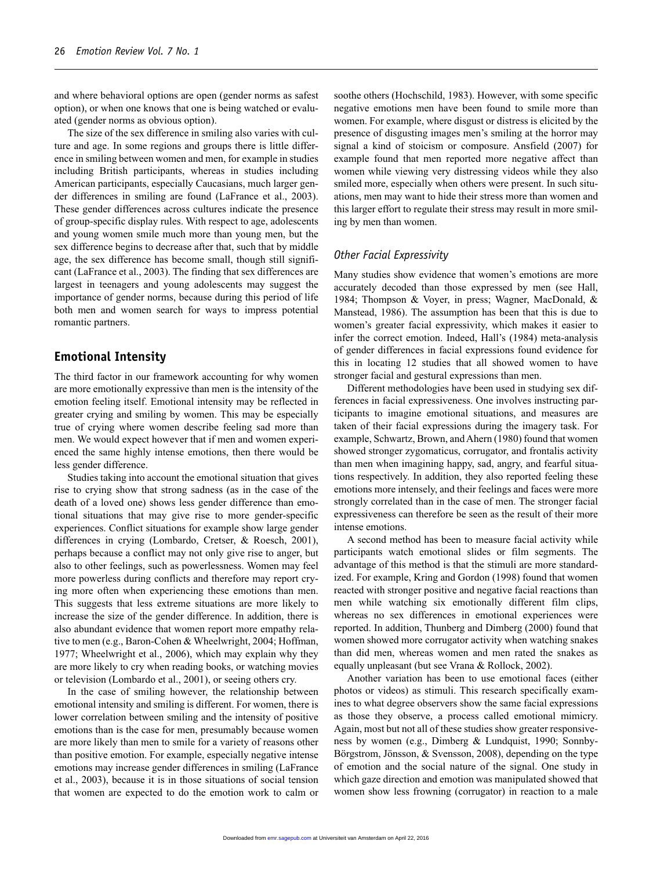and where behavioral options are open (gender norms as safest option), or when one knows that one is being watched or evaluated (gender norms as obvious option).

The size of the sex difference in smiling also varies with culture and age. In some regions and groups there is little difference in smiling between women and men, for example in studies including British participants, whereas in studies including American participants, especially Caucasians, much larger gender differences in smiling are found (LaFrance et al., 2003). These gender differences across cultures indicate the presence of group-specific display rules. With respect to age, adolescents and young women smile much more than young men, but the sex difference begins to decrease after that, such that by middle age, the sex difference has become small, though still significant (LaFrance et al., 2003). The finding that sex differences are largest in teenagers and young adolescents may suggest the importance of gender norms, because during this period of life both men and women search for ways to impress potential romantic partners.

#### **Emotional Intensity**

The third factor in our framework accounting for why women are more emotionally expressive than men is the intensity of the emotion feeling itself. Emotional intensity may be reflected in greater crying and smiling by women. This may be especially true of crying where women describe feeling sad more than men. We would expect however that if men and women experienced the same highly intense emotions, then there would be less gender difference.

Studies taking into account the emotional situation that gives rise to crying show that strong sadness (as in the case of the death of a loved one) shows less gender difference than emotional situations that may give rise to more gender-specific experiences. Conflict situations for example show large gender differences in crying (Lombardo, Cretser, & Roesch, 2001), perhaps because a conflict may not only give rise to anger, but also to other feelings, such as powerlessness. Women may feel more powerless during conflicts and therefore may report crying more often when experiencing these emotions than men. This suggests that less extreme situations are more likely to increase the size of the gender difference. In addition, there is also abundant evidence that women report more empathy relative to men (e.g., Baron-Cohen & Wheelwright, 2004; Hoffman, 1977; Wheelwright et al., 2006), which may explain why they are more likely to cry when reading books, or watching movies or television (Lombardo et al., 2001), or seeing others cry.

In the case of smiling however, the relationship between emotional intensity and smiling is different. For women, there is lower correlation between smiling and the intensity of positive emotions than is the case for men, presumably because women are more likely than men to smile for a variety of reasons other than positive emotion. For example, especially negative intense emotions may increase gender differences in smiling (LaFrance et al., 2003), because it is in those situations of social tension that women are expected to do the emotion work to calm or

soothe others (Hochschild, 1983). However, with some specific negative emotions men have been found to smile more than women. For example, where disgust or distress is elicited by the presence of disgusting images men's smiling at the horror may signal a kind of stoicism or composure. Ansfield (2007) for example found that men reported more negative affect than women while viewing very distressing videos while they also smiled more, especially when others were present. In such situations, men may want to hide their stress more than women and this larger effort to regulate their stress may result in more smiling by men than women.

#### *Other Facial Expressivity*

Many studies show evidence that women's emotions are more accurately decoded than those expressed by men (see Hall, 1984; Thompson & Voyer, in press; Wagner, MacDonald, & Manstead, 1986). The assumption has been that this is due to women's greater facial expressivity, which makes it easier to infer the correct emotion. Indeed, Hall's (1984) meta-analysis of gender differences in facial expressions found evidence for this in locating 12 studies that all showed women to have stronger facial and gestural expressions than men.

Different methodologies have been used in studying sex differences in facial expressiveness. One involves instructing participants to imagine emotional situations, and measures are taken of their facial expressions during the imagery task. For example, Schwartz, Brown, and Ahern (1980) found that women showed stronger zygomaticus, corrugator, and frontalis activity than men when imagining happy, sad, angry, and fearful situations respectively. In addition, they also reported feeling these emotions more intensely, and their feelings and faces were more strongly correlated than in the case of men. The stronger facial expressiveness can therefore be seen as the result of their more intense emotions.

A second method has been to measure facial activity while participants watch emotional slides or film segments. The advantage of this method is that the stimuli are more standardized. For example, Kring and Gordon (1998) found that women reacted with stronger positive and negative facial reactions than men while watching six emotionally different film clips, whereas no sex differences in emotional experiences were reported. In addition, Thunberg and Dimberg (2000) found that women showed more corrugator activity when watching snakes than did men, whereas women and men rated the snakes as equally unpleasant (but see Vrana & Rollock, 2002).

Another variation has been to use emotional faces (either photos or videos) as stimuli. This research specifically examines to what degree observers show the same facial expressions as those they observe, a process called emotional mimicry. Again, most but not all of these studies show greater responsiveness by women (e.g., Dimberg & Lundquist, 1990; Sonnby-Börgstrom, Jönsson, & Svensson, 2008), depending on the type of emotion and the social nature of the signal. One study in which gaze direction and emotion was manipulated showed that women show less frowning (corrugator) in reaction to a male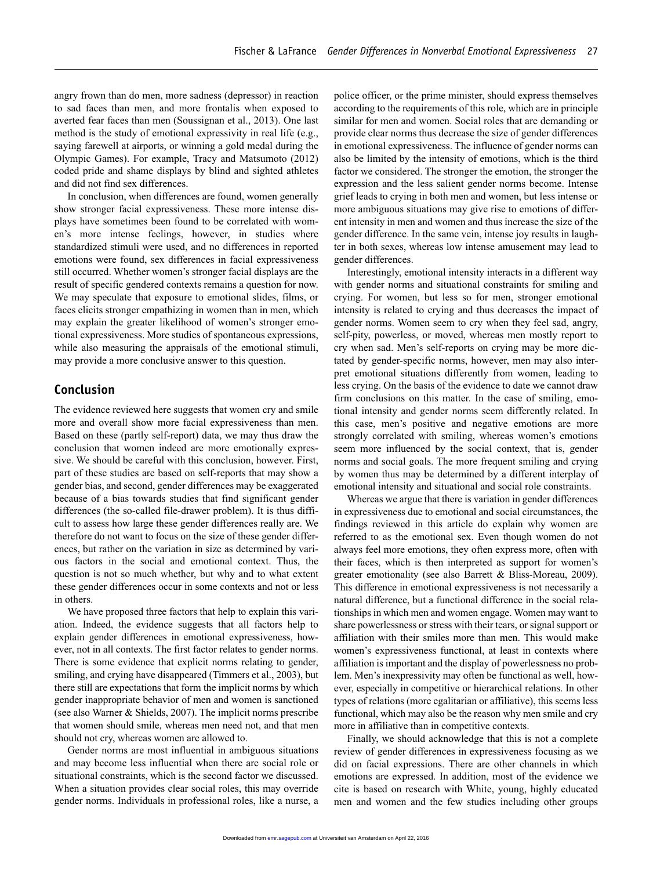angry frown than do men, more sadness (depressor) in reaction to sad faces than men, and more frontalis when exposed to averted fear faces than men (Soussignan et al., 2013). One last method is the study of emotional expressivity in real life (e.g., saying farewell at airports, or winning a gold medal during the Olympic Games). For example, Tracy and Matsumoto (2012) coded pride and shame displays by blind and sighted athletes and did not find sex differences.

In conclusion, when differences are found, women generally show stronger facial expressiveness. These more intense displays have sometimes been found to be correlated with women's more intense feelings, however, in studies where standardized stimuli were used, and no differences in reported emotions were found, sex differences in facial expressiveness still occurred. Whether women's stronger facial displays are the result of specific gendered contexts remains a question for now. We may speculate that exposure to emotional slides, films, or faces elicits stronger empathizing in women than in men, which may explain the greater likelihood of women's stronger emotional expressiveness. More studies of spontaneous expressions, while also measuring the appraisals of the emotional stimuli, may provide a more conclusive answer to this question.

## **Conclusion**

The evidence reviewed here suggests that women cry and smile more and overall show more facial expressiveness than men. Based on these (partly self-report) data, we may thus draw the conclusion that women indeed are more emotionally expressive. We should be careful with this conclusion, however. First, part of these studies are based on self-reports that may show a gender bias, and second, gender differences may be exaggerated because of a bias towards studies that find significant gender differences (the so-called file-drawer problem). It is thus difficult to assess how large these gender differences really are. We therefore do not want to focus on the size of these gender differences, but rather on the variation in size as determined by various factors in the social and emotional context. Thus, the question is not so much whether, but why and to what extent these gender differences occur in some contexts and not or less in others.

We have proposed three factors that help to explain this variation. Indeed, the evidence suggests that all factors help to explain gender differences in emotional expressiveness, however, not in all contexts. The first factor relates to gender norms. There is some evidence that explicit norms relating to gender, smiling, and crying have disappeared (Timmers et al., 2003), but there still are expectations that form the implicit norms by which gender inappropriate behavior of men and women is sanctioned (see also Warner & Shields, 2007). The implicit norms prescribe that women should smile, whereas men need not, and that men should not cry, whereas women are allowed to.

Gender norms are most influential in ambiguous situations and may become less influential when there are social role or situational constraints, which is the second factor we discussed. When a situation provides clear social roles, this may override gender norms. Individuals in professional roles, like a nurse, a police officer, or the prime minister, should express themselves according to the requirements of this role, which are in principle similar for men and women. Social roles that are demanding or provide clear norms thus decrease the size of gender differences in emotional expressiveness. The influence of gender norms can also be limited by the intensity of emotions, which is the third factor we considered. The stronger the emotion, the stronger the expression and the less salient gender norms become. Intense grief leads to crying in both men and women, but less intense or more ambiguous situations may give rise to emotions of different intensity in men and women and thus increase the size of the gender difference. In the same vein, intense joy results in laughter in both sexes, whereas low intense amusement may lead to gender differences.

Interestingly, emotional intensity interacts in a different way with gender norms and situational constraints for smiling and crying. For women, but less so for men, stronger emotional intensity is related to crying and thus decreases the impact of gender norms. Women seem to cry when they feel sad, angry, self-pity, powerless, or moved, whereas men mostly report to cry when sad. Men's self-reports on crying may be more dictated by gender-specific norms, however, men may also interpret emotional situations differently from women, leading to less crying. On the basis of the evidence to date we cannot draw firm conclusions on this matter. In the case of smiling, emotional intensity and gender norms seem differently related. In this case, men's positive and negative emotions are more strongly correlated with smiling, whereas women's emotions seem more influenced by the social context, that is, gender norms and social goals. The more frequent smiling and crying by women thus may be determined by a different interplay of emotional intensity and situational and social role constraints.

Whereas we argue that there is variation in gender differences in expressiveness due to emotional and social circumstances, the findings reviewed in this article do explain why women are referred to as the emotional sex. Even though women do not always feel more emotions, they often express more, often with their faces, which is then interpreted as support for women's greater emotionality (see also Barrett & Bliss-Moreau, 2009). This difference in emotional expressiveness is not necessarily a natural difference, but a functional difference in the social relationships in which men and women engage. Women may want to share powerlessness or stress with their tears, or signal support or affiliation with their smiles more than men. This would make women's expressiveness functional, at least in contexts where affiliation is important and the display of powerlessness no problem. Men's inexpressivity may often be functional as well, however, especially in competitive or hierarchical relations. In other types of relations (more egalitarian or affiliative), this seems less functional, which may also be the reason why men smile and cry more in affiliative than in competitive contexts.

Finally, we should acknowledge that this is not a complete review of gender differences in expressiveness focusing as we did on facial expressions. There are other channels in which emotions are expressed. In addition, most of the evidence we cite is based on research with White, young, highly educated men and women and the few studies including other groups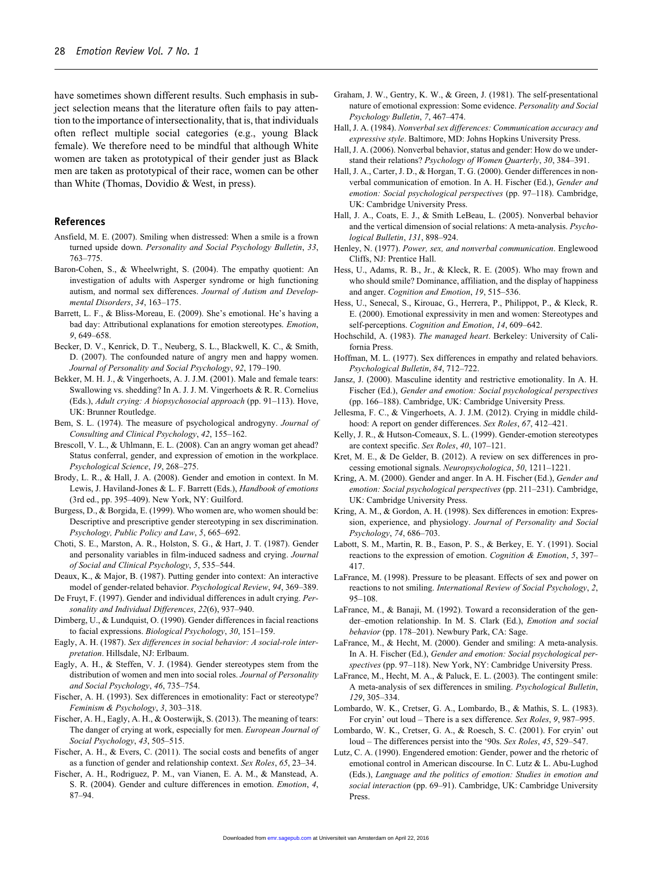have sometimes shown different results. Such emphasis in subject selection means that the literature often fails to pay attention to the importance of intersectionality, that is, that individuals often reflect multiple social categories (e.g., young Black female). We therefore need to be mindful that although White women are taken as prototypical of their gender just as Black men are taken as prototypical of their race, women can be other than White (Thomas, Dovidio & West, in press).

#### **References**

- Ansfield, M. E. (2007). Smiling when distressed: When a smile is a frown turned upside down. *Personality and Social Psychology Bulletin*, *33*, 763–775.
- Baron-Cohen, S., & Wheelwright, S. (2004). The empathy quotient: An investigation of adults with Asperger syndrome or high functioning autism, and normal sex differences. *Journal of Autism and Developmental Disorders*, *34*, 163–175.
- Barrett, L. F., & Bliss-Moreau, E. (2009). She's emotional. He's having a bad day: Attributional explanations for emotion stereotypes. *Emotion*, *9*, 649–658.
- Becker, D. V., Kenrick, D. T., Neuberg, S. L., Blackwell, K. C., & Smith, D. (2007). The confounded nature of angry men and happy women. *Journal of Personality and Social Psychology*, *92*, 179–190.
- Bekker, M. H. J., & Vingerhoets, A. J. J.M. (2001). Male and female tears: Swallowing vs. shedding? In A. J. J. M. Vingerhoets & R. R. Cornelius (Eds.), *Adult crying: A biopsychosocial approach* (pp. 91–113). Hove, UK: Brunner Routledge.
- Bem, S. L. (1974). The measure of psychological androgyny. *Journal of Consulting and Clinical Psychology*, *42*, 155–162.
- Brescoll, V. L., & Uhlmann, E. L. (2008). Can an angry woman get ahead? Status conferral, gender, and expression of emotion in the workplace. *Psychological Science*, *19*, 268–275.
- Brody, L. R., & Hall, J. A. (2008). Gender and emotion in context. In M. Lewis, J. Haviland-Jones & L. F. Barrett (Eds.), *Handbook of emotions* (3rd ed., pp. 395–409). New York, NY: Guilford.
- Burgess, D., & Borgida, E. (1999). Who women are, who women should be: Descriptive and prescriptive gender stereotyping in sex discrimination. *Psychology, Public Policy and Law*, *5*, 665–692.
- Choti, S. E., Marston, A. R., Holston, S. G., & Hart, J. T. (1987). Gender and personality variables in film-induced sadness and crying. *Journal of Social and Clinical Psychology*, *5*, 535–544.
- Deaux, K., & Major, B. (1987). Putting gender into context: An interactive model of gender-related behavior. *Psychological Review*, *94*, 369–389.
- De Fruyt, F. (1997). Gender and individual differences in adult crying. *Personality and Individual Differences*, *22*(6), 937–940.
- Dimberg, U., & Lundquist, O. (1990). Gender differences in facial reactions to facial expressions. *Biological Psychology*, *30*, 151–159.
- Eagly, A. H. (1987). *Sex differences in social behavior: A social-role interpretation*. Hillsdale, NJ: Erlbaum.
- Eagly, A. H., & Steffen, V. J. (1984). Gender stereotypes stem from the distribution of women and men into social roles. *Journal of Personality and Social Psychology*, *46*, 735–754.
- Fischer, A. H. (1993). Sex differences in emotionality: Fact or stereotype? *Feminism & Psychology*, *3*, 303–318.
- Fischer, A. H., Eagly, A. H., & Oosterwijk, S. (2013). The meaning of tears: The danger of crying at work, especially for men. *European Journal of Social Psychology*, *43*, 505–515.
- Fischer, A. H., & Evers, C. (2011). The social costs and benefits of anger as a function of gender and relationship context. *Sex Roles*, *65*, 23–34.
- Fischer, A. H., Rodriguez, P. M., van Vianen, E. A. M., & Manstead, A. S. R. (2004). Gender and culture differences in emotion. *Emotion*, *4*, 87–94.
- Graham, J. W., Gentry, K. W., & Green, J. (1981). The self-presentational nature of emotional expression: Some evidence. *Personality and Social Psychology Bulletin*, *7*, 467–474.
- Hall, J. A. (1984). *Nonverbal sex differences: Communication accuracy and expressive style*. Baltimore, MD: Johns Hopkins University Press.
- Hall, J. A. (2006). Nonverbal behavior, status and gender: How do we understand their relations? *Psychology of Women Quarterly*, *30*, 384–391.
- Hall, J. A., Carter, J. D., & Horgan, T. G. (2000). Gender differences in nonverbal communication of emotion. In A. H. Fischer (Ed.), *Gender and emotion: Social psychological perspectives* (pp. 97–118). Cambridge, UK: Cambridge University Press.
- Hall, J. A., Coats, E. J., & Smith LeBeau, L. (2005). Nonverbal behavior and the vertical dimension of social relations: A meta-analysis. *Psychological Bulletin*, *131*, 898–924.
- Henley, N. (1977). *Power, sex, and nonverbal communication*. Englewood Cliffs, NJ: Prentice Hall.
- Hess, U., Adams, R. B., Jr., & Kleck, R. E. (2005). Who may frown and who should smile? Dominance, affiliation, and the display of happiness and anger. *Cognition and Emotion*, *19*, 515–536.
- Hess, U., Senecal, S., Kirouac, G., Herrera, P., Philippot, P., & Kleck, R. E. (2000). Emotional expressivity in men and women: Stereotypes and self-perceptions. *Cognition and Emotion*, *14*, 609–642.
- Hochschild, A. (1983). *The managed heart*. Berkeley: University of California Press.
- Hoffman, M. L. (1977). Sex differences in empathy and related behaviors. *Psychological Bulletin*, *84*, 712–722.
- Jansz, J. (2000). Masculine identity and restrictive emotionality. In A. H. Fischer (Ed.), *Gender and emotion: Social psychological perspectives* (pp. 166–188). Cambridge, UK: Cambridge University Press.
- Jellesma, F. C., & Vingerhoets, A. J. J.M. (2012). Crying in middle childhood: A report on gender differences. *Sex Roles*, *67*, 412–421.
- Kelly, J. R., & Hutson-Comeaux, S. L. (1999). Gender-emotion stereotypes are context specific. *Sex Roles*, *40*, 107–121.
- Kret, M. E., & De Gelder, B. (2012). A review on sex differences in processing emotional signals. *Neuropsychologica*, *50*, 1211–1221.
- Kring, A. M. (2000). Gender and anger. In A. H. Fischer (Ed.), *Gender and emotion: Social psychological perspectives* (pp. 211–231). Cambridge, UK: Cambridge University Press.
- Kring, A. M., & Gordon, A. H. (1998). Sex differences in emotion: Expression, experience, and physiology. *Journal of Personality and Social Psychology*, *74*, 686–703.
- Labott, S. M., Martin, R. B., Eason, P. S., & Berkey, E. Y. (1991). Social reactions to the expression of emotion. *Cognition & Emotion*, *5*, 397– 417.
- LaFrance, M. (1998). Pressure to be pleasant. Effects of sex and power on reactions to not smiling. *International Review of Social Psychology*, *2*, 95–108.
- LaFrance, M., & Banaji, M. (1992). Toward a reconsideration of the gender–emotion relationship. In M. S. Clark (Ed.), *Emotion and social behavior* (pp. 178–201). Newbury Park, CA: Sage.
- LaFrance, M., & Hecht, M. (2000). Gender and smiling: A meta-analysis. In A. H. Fischer (Ed.), *Gender and emotion: Social psychological perspectives* (pp. 97–118). New York, NY: Cambridge University Press.
- LaFrance, M., Hecht, M. A., & Paluck, E. L. (2003). The contingent smile: A meta-analysis of sex differences in smiling. *Psychological Bulletin*, *129*, 305–334.
- Lombardo, W. K., Cretser, G. A., Lombardo, B., & Mathis, S. L. (1983). For cryin' out loud – There is a sex difference. *Sex Roles*, *9*, 987–995.
- Lombardo, W. K., Cretser, G. A., & Roesch, S. C. (2001). For cryin' out loud – The differences persist into the '90s. *Sex Roles*, *45*, 529–547.
- Lutz, C. A. (1990). Engendered emotion: Gender, power and the rhetoric of emotional control in American discourse. In C. Lutz & L. Abu-Lughod (Eds.), *Language and the politics of emotion: Studies in emotion and social interaction* (pp. 69–91). Cambridge, UK: Cambridge University Press.